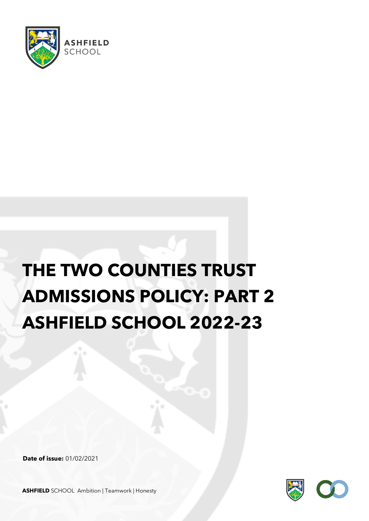

# **THE TWO COUNTIES TRUST ADMISSIONS POLICY: PART 2 ASHFIELD SCHOOL 2022-23**

**Date of issue:** 01/02/2021



**ASHFIELD** SCHOOL Ambition | Teamwork | Honesty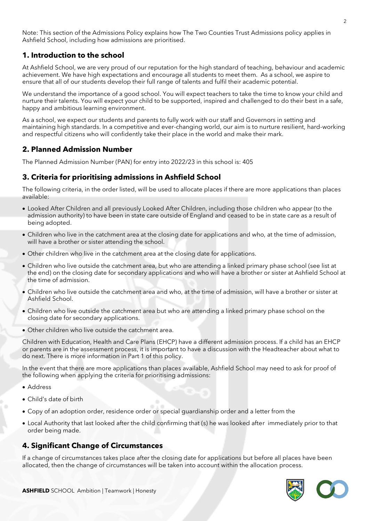Note: This section of the Admissions Policy explains how The Two Counties Trust Admissions policy applies in Ashfield School, including how admissions are prioritised.

# **1. Introduction to the school**

At Ashfield School, we are very proud of our reputation for the high standard of teaching, behaviour and academic achievement. We have high expectations and encourage all students to meet them. As a school, we aspire to ensure that all of our students develop their full range of talents and fulfil their academic potential.

We understand the importance of a good school. You will expect teachers to take the time to know your child and nurture their talents. You will expect your child to be supported, inspired and challenged to do their best in a safe, happy and ambitious learning environment.

As a school, we expect our students and parents to fully work with our staff and Governors in setting and maintaining high standards. In a competitive and ever-changing world, our aim is to nurture resilient, hard-working and respectful citizens who will confidently take their place in the world and make their mark.

## **2. Planned Admission Number**

The Planned Admission Number (PAN) for entry into 2022/23 in this school is: 405

## **3. Criteria for prioritising admissions in Ashfield School**

The following criteria, in the order listed, will be used to allocate places if there are more applications than places available:

- Looked After Children and all previously Looked After Children, including those children who appear (to the admission authority) to have been in state care outside of England and ceased to be in state care as a result of being adopted.
- Children who live in the catchment area at the closing date for applications and who, at the time of admission, will have a brother or sister attending the school.
- Other children who live in the catchment area at the closing date for applications.
- Children who live outside the catchment area, but who are attending a linked primary phase school (see list at the end) on the closing date for secondary applications and who will have a brother or sister at Ashfield School at the time of admission.
- Children who live outside the catchment area and who, at the time of admission, will have a brother or sister at Ashfield School.
- Children who live outside the catchment area but who are attending a linked primary phase school on the closing date for secondary applications.
- Other children who live outside the catchment area.

Children with Education, Health and Care Plans (EHCP) have a different admission process. If a child has an EHCP or parents are in the assessment process, it is important to have a discussion with the Headteacher about what to do next. There is more information in Part 1 of this policy.

In the event that there are more applications than places available, Ashfield School may need to ask for proof of the following when applying the criteria for prioritising admissions:

- Address
- Child's date of birth
- Copy of an adoption order, residence order or special guardianship order and a letter from the
- Local Authority that last looked after the child confirming that (s) he was looked after immediately prior to that order being made.

## **4. Significant Change of Circumstances**

If a change of circumstances takes place after the closing date for applications but before all places have been allocated, then the change of circumstances will be taken into account within the allocation process.

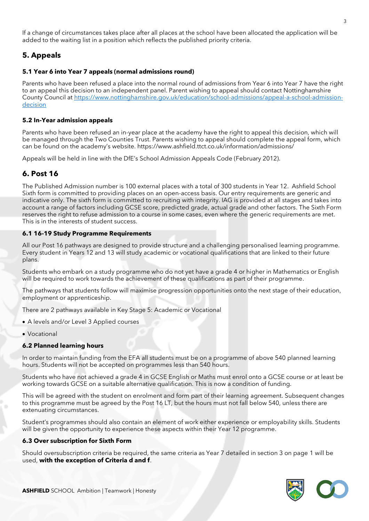If a change of circumstances takes place after all places at the school have been allocated the application will be added to the waiting list in a position which reflects the published priority criteria.

# **5. Appeals**

## **5.1 Year 6 into Year 7 appeals (normal admissions round)**

Parents who have been refused a place into the normal round of admissions from Year 6 into Year 7 have the right to an appeal this decision to an independent panel. Parent wishing to appeal should contact Nottinghamshire County Council at [https://www.nottinghamshire.gov.uk/education/school-admissions/appeal-a-school-admission](https://www.nottinghamshire.gov.uk/education/school-admissions/appeal-a-school-admission-decision)[decision](https://www.nottinghamshire.gov.uk/education/school-admissions/appeal-a-school-admission-decision)

## **5.2 In-Year admission appeals**

Parents who have been refused an in-year place at the academy have the right to appeal this decision, which will be managed through the Two Counties Trust. Parents wishing to appeal should complete the appeal form, which can be found on the academy's website. https://www.ashfield.ttct.co.uk/information/admissions/

Appeals will be held in line with the DfE's School Admission Appeals Code (February 2012).

# **6. Post 16**

The Published Admission number is 100 external places with a total of 300 students in Year 12. Ashfield School Sixth form is committed to providing places on an open-access basis. Our entry requirements are generic and indicative only. The sixth form is committed to recruiting with integrity. IAG is provided at all stages and takes into account a range of factors including GCSE score, predicted grade, actual grade and other factors. The Sixth Form reserves the right to refuse admission to a course in some cases, even where the generic requirements are met. This is in the interests of student success.

## **6.1 16-19 Study Programme Requirements**

All our Post 16 pathways are designed to provide structure and a challenging personalised learning programme. Every student in Years 12 and 13 will study academic or vocational qualifications that are linked to their future plans.

Students who embark on a study programme who do not yet have a grade 4 or higher in Mathematics or English will be required to work towards the achievement of these qualifications as part of their programme.

The pathways that students follow will maximise progression opportunities onto the next stage of their education, employment or apprenticeship.

There are 2 pathways available in Key Stage 5: Academic or Vocational

- A levels and/or Level 3 Applied courses
- Vocational

## **6.2 Planned learning hours**

In order to maintain funding from the EFA all students must be on a programme of above 540 planned learning hours. Students will not be accepted on programmes less than 540 hours.

Students who have not achieved a grade 4 in GCSE English or Maths must enrol onto a GCSE course or at least be working towards GCSE on a suitable alternative qualification. This is now a condition of funding.

This will be agreed with the student on enrolment and form part of their learning agreement. Subsequent changes to this programme must be agreed by the Post 16 LT, but the hours must not fall below 540, unless there are extenuating circumstances.

Student's programmes should also contain an element of work either experience or employability skills. Students will be given the opportunity to experience these aspects within their Year 12 programme.

## **6.3 Over subscription for Sixth Form**

Should oversubscription criteria be required, the same criteria as Year 7 detailed in section 3 on page 1 will be used, **with the exception of Criteria d and f**.

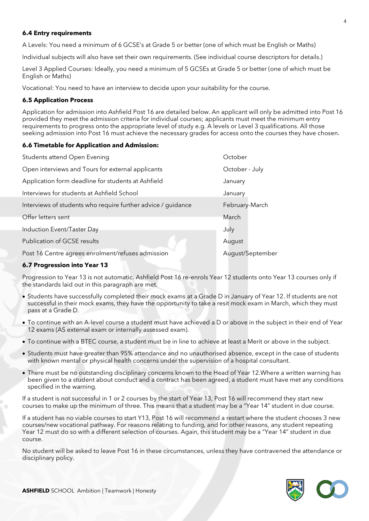#### **6.4 Entry requirements**

A Levels: You need a minimum of 6 GCSE's at Grade 5 or better (one of which must be English or Maths)

Individual subjects will also have set their own requirements. (See individual course descriptors for details.)

Level 3 Applied Courses: Ideally, you need a minimum of 5 GCSEs at Grade 5 or better (one of which must be English or Maths)

Vocational: You need to have an interview to decide upon your suitability for the course.

#### **6.5 Application Process**

Application for admission into Ashfield Post 16 are detailed below. An applicant will only be admitted into Post 16 provided they meet the admission criteria for individual courses; applicants must meet the minimum entry requirements to progress onto the appropriate level of study e.g. A levels or Level 3 qualifications. All those seeking admission into Post 16 must achieve the necessary grades for access onto the courses they have chosen.

#### **6.6 Timetable for Application and Admission:**

| Students attend Open Evening                                 | October          |
|--------------------------------------------------------------|------------------|
| Open interviews and Tours for external applicants            | October - July   |
| Application form deadline for students at Ashfield           | January          |
| Interviews for students at Ashfield School                   | January          |
| Interviews of students who require further advice / guidance | February-March   |
| Offer letters sent                                           | March            |
| Induction Event/Taster Day                                   | July             |
| Publication of GCSE results                                  | August           |
| Post 16 Centre agrees enrolment/refuses admission            | August/September |

#### **6.7 Progression into Year 13**

Progression to Year 13 is not automatic. Ashfield Post 16 re-enrols Year 12 students onto Year 13 courses only if the standards laid out in this paragraph are met.

- Students have successfully completed their mock exams at a Grade D in January of Year 12. If students are not successful in their mock exams, they have the opportunity to take a resit mock exam in March, which they must pass at a Grade D.
- To continue with an A-level course a student must have achieved a D or above in the subject in their end of Year 12 exams (AS external exam or internally assessed exam).
- To continue with a BTEC course, a student must be in line to achieve at least a Merit or above in the subject.
- Students must have greater than 95% attendance and no unauthorised absence, except in the case of students with known mental or physical health concerns under the supervision of a hospital consultant.
- There must be no outstanding disciplinary concerns known to the Head of Year 12.Where a written warning has been given to a student about conduct and a contract has been agreed, a student must have met any conditions specified in the warning.

If a student is not successful in 1 or 2 courses by the start of Year 13, Post 16 will recommend they start new courses to make up the minimum of three. This means that a student may be a "Year 14" student in due course.

If a student has no viable courses to start Y13, Post 16 will recommend a restart where the student chooses 3 new courses/new vocational pathway. For reasons relating to funding, and for other reasons, any student repeating Year 12 must do so with a different selection of courses. Again, this student may be a "Year 14" student in due course.

No student will be asked to leave Post 16 in these circumstances, unless they have contravened the attendance or disciplinary policy.

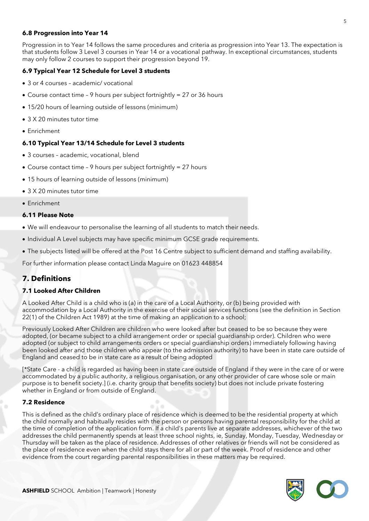#### **6.8 Progression into Year 14**

Progression in to Year 14 follows the same procedures and criteria as progression into Year 13. The expectation is that students follow 3 Level 3 courses in Year 14 or a vocational pathway. In exceptional circumstances, students may only follow 2 courses to support their progression beyond 19.

### **6.9 Typical Year 12 Schedule for Level 3 students**

- 3 or 4 courses academic/ vocational
- Course contact time 9 hours per subject fortnightly = 27 or 36 hours
- 15/20 hours of learning outside of lessons (minimum)
- 3 X 20 minutes tutor time
- Enrichment

#### **6.10 Typical Year 13/14 Schedule for Level 3 students**

- 3 courses academic, vocational, blend
- Course contact time 9 hours per subject fortnightly = 27 hours
- 15 hours of learning outside of lessons (minimum)
- 3 X 20 minutes tutor time
- Enrichment

#### **6.11 Please Note**

- We will endeavour to personalise the learning of all students to match their needs.
- Individual A Level subjects may have specific minimum GCSE grade requirements.
- The subjects listed will be offered at the Post 16 Centre subject to sufficient demand and staffing availability.

For further information please contact Linda Maguire on 01623 448854

# **7. Definitions**

#### **7.1 Looked After Children**

A Looked After Child is a child who is (a) in the care of a Local Authority, or (b) being provided with accommodation by a Local Authority in the exercise of their social services functions (see the definition in Section 22(1) of the Children Act 1989) at the time of making an application to a school;

Previously Looked After Children are children who were looked after but ceased to be so because they were adopted, (or became subject to a child arrangement order or special guardianship order). Children who were adopted (or subject to child arrangements orders or special guardianship orders) immediately following having been looked after and those children who appear (to the admission authority) to have been in state care outside of England and ceased to be in state care as a result of being adopted

[\*State Care - a child is regarded as having been in state care outside of England if they were in the care of or were accommodated by a public authority, a religious organisation, or any other provider of care whose sole or main purpose is to benefit society.] (i.e. charity group that benefits society) but does not include private fostering whether in England or from outside of England.

#### **7.2 Residence**

This is defined as the child's ordinary place of residence which is deemed to be the residential property at which the child normally and habitually resides with the person or persons having parental responsibility for the child at the time of completion of the application form. If a child's parents live at separate addresses, whichever of the two addresses the child permanently spends at least three school nights, ie, Sunday, Monday, Tuesday, Wednesday or Thursday will be taken as the place of residence. Addresses of other relatives or friends will not be considered as the place of residence even when the child stays there for all or part of the week. Proof of residence and other evidence from the court regarding parental responsibilities in these matters may be required.